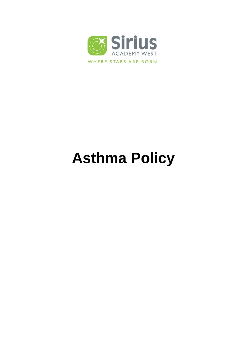

# **Asthma Policy**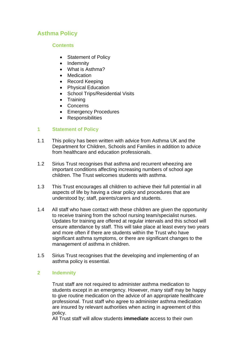# **Asthma Policy**

## **Contents**

- Statement of Policy
- Indemnity
- What is Asthma?
- Medication
- Record Keeping
- Physical Education
- School Trips/Residential Visits
- Training
- Concerns
- **Emergency Procedures**
- Responsibilities

# **1 Statement of Policy**

- 1.1 This policy has been written with advice from Asthma UK and the Department for Children, Schools and Families in addition to advice from healthcare and education professionals.
- 1.2 Sirius Trust recognises that asthma and recurrent wheezing are important conditions affecting increasing numbers of school age children. The Trust welcomes students with asthma.
- 1.3 This Trust encourages all children to achieve their full potential in all aspects of life by having a clear policy and procedures that are understood by; staff, parents/carers and students.
- 1.4 All staff who have contact with these children are given the opportunity to receive training from the school nursing team/specialist nurses. Updates for training are offered at regular intervals and this school will ensure attendance by staff. This will take place at least every two years and more often if there are students within the Trust who have significant asthma symptoms, or there are significant changes to the management of asthma in children.
- 1.5 Sirius Trust recognises that the developing and implementing of an asthma policy is essential.

# **2 Indemnity**

Trust staff are not required to administer asthma medication to students except in an emergency. However, many staff may be happy to give routine medication on the advice of an appropriate healthcare professional. Trust staff who agree to administer asthma medication are insured by relevant authorities when acting in agreement of this policy.

All Trust staff will allow students **immediate** access to their own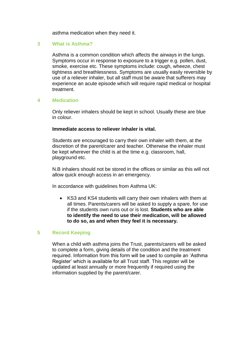asthma medication when they need it.

### **3 What is Asthma?**

Asthma is a common condition which affects the airways in the lungs. Symptoms occur in response to exposure to a trigger e.g. pollen, dust, smoke, exercise etc. These symptoms include: cough, wheeze, chest tightness and breathlessness. Symptoms are usually easily reversible by use of a reliever inhaler, but all staff must be aware that sufferers may experience an acute episode which will require rapid medical or hospital treatment.

#### **4 Medication**

Only reliever inhalers should be kept in school. Usually these are blue in colour.

#### **Immediate access to reliever inhaler is vital.**

Students are encouraged to carry their own inhaler with them, at the discretion of the parent/carer and teacher. Otherwise the inhaler must be kept wherever the child is at the time e.g. classroom, hall, playground etc.

N.B inhalers should not be stored in the offices or similar as this will not allow quick enough access in an emergency.

In accordance with guidelines from Asthma UK:

 KS3 and KS4 students will carry their own inhalers with them at all times. Parents/carers will be asked to supply a spare, for use if the students own runs out or is lost. **Students who are able to identify the need to use their medication, will be allowed to do so, as and when they feel it is necessary.**

#### **5 Record Keeping**

When a child with asthma joins the Trust, parents/carers will be asked to complete a form, giving details of the condition and the treatment required. Information from this form will be used to compile an 'Asthma Register' which is available for all Trust staff. This register will be updated at least annually or more frequently if required using the information supplied by the parent/carer.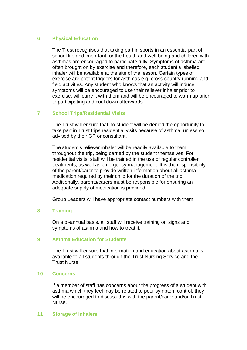#### **6 Physical Education**

The Trust recognises that taking part in sports in an essential part of school life and important for the health and well-being and children with asthmas are encouraged to participate fully. Symptoms of asthma are often brought on by exercise and therefore, each student's labelled inhaler will be available at the site of the lesson. Certain types of exercise are potent triggers for asthmas e.g. cross country running and field activities. Any student who knows that an activity will induce symptoms will be encouraged to use their reliever inhaler prior to exercise, will carry it with them and will be encouraged to warm up prior to participating and cool down afterwards.

#### **7 School Trips/Residential Visits**

The Trust will ensure that no student will be denied the opportunity to take part in Trust trips residential visits because of asthma, unless so advised by their GP or consultant.

The student's reliever inhaler will be readily available to them throughout the trip, being carried by the student themselves. For residential visits, staff will be trained in the use of regular controller treatments, as well as emergency management. It is the responsibility of the parent/carer to provide written information about all asthma medication required by their child for the duration of the trip. Additionally, parents/carers must be responsible for ensuring an adequate supply of medication is provided.

Group Leaders will have appropriate contact numbers with them.

#### **8 Training**

On a bi-annual basis, all staff will receive training on signs and symptoms of asthma and how to treat it.

#### **9 Asthma Education for Students**

The Trust will ensure that information and education about asthma is available to all students through the Trust Nursing Service and the Trust Nurse.

#### **10 Concerns**

If a member of staff has concerns about the progress of a student with asthma which they feel may be related to poor symptom control, they will be encouraged to discuss this with the parent/carer and/or Trust Nurse.

#### **11 Storage of Inhalers**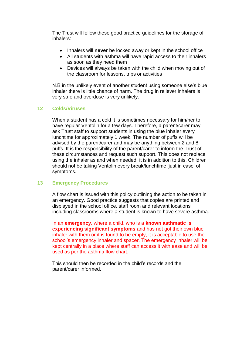The Trust will follow these good practice guidelines for the storage of inhalers:

- Inhalers will **never** be locked away or kept in the school office
- All students with asthma will have rapid access to their inhalers as soon as they need them
- Devices will always be taken with the child when moving out of the classroom for lessons, trips or activities

N.B in the unlikely event of another student using someone else's blue inhaler there is little chance of harm. The drug in reliever inhalers is very safe and overdose is very unlikely.

#### **12 Colds/Viruses**

When a student has a cold it is sometimes necessary for him/her to have regular Ventolin for a few days. Therefore, a parent/carer may ask Trust staff to support students in using the blue inhaler every lunchtime for approximately 1 week. The number of puffs will be advised by the parent/carer and may be anything between 2 and 8 puffs. It is the responsibility of the parent/carer to inform the Trust of these circumstances and request such support. This does not replace using the inhaler as and when needed, it is in addition to this. Children should not be taking Ventolin every break/lunchtime 'just in case' of symptoms.

#### **13 Emergency Procedures**

A flow chart is issued with this policy outlining the action to be taken in an emergency. Good practice suggests that copies are printed and displayed in the school office, staff room and relevant locations including classrooms where a student is known to have severe asthma.

In an **emergency**, where a child, who is a **known asthmatic is experiencing significant symptoms** and has not got their own blue inhaler with them or it is found to be empty, it is acceptable to use the school's emergency inhaler and spacer. The emergency inhaler will be kept centrally in a place where staff can access it with ease and will be used as per the asthma flow chart.

This should then be recorded in the child's records and the parent/carer informed.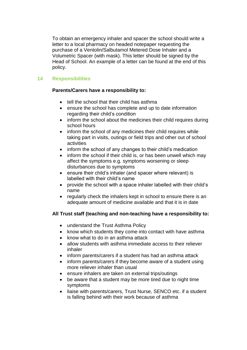To obtain an emergency inhaler and spacer the school should write a letter to a local pharmacy on headed notepaper requesting the purchase of a Ventolin/Salbutamol Metered Dose Inhaler and a Volumetric Spacer (with mask). This letter should be signed by the Head of School. An example of a letter can be found at the end of this policy.

# **14 Responsibilities**

# **Parents/Carers have a responsibility to:**

- tell the school that their child has asthma
- ensure the school has complete and up to date information regarding their child's condition
- inform the school about the medicines their child requires during school hours
- inform the school of any medicines their child requires while taking part in visits, outings or field trips and other out of school activities
- inform the school of any changes to their child's medication
- inform the school if their child is, or has been unwell which may affect the symptoms e.g. symptoms worsening or sleep disturbances due to symptoms
- ensure their child's inhaler (and spacer where relevant) is labelled with their child's name
- provide the school with a space inhaler labelled with their child's name
- regularly check the inhalers kept in school to ensure there is an adequate amount of medicine available and that it is in date

# **All Trust staff (teaching and non-teaching have a responsibility to:**

- understand the Trust Asthma Policy
- know which students they come into contact with have asthma
- know what to do in an asthma attack
- allow students with asthma immediate access to their reliever inhaler
- inform parents/carers if a student has had an asthma attack
- inform parents/carers if they become aware of a student using more reliever inhaler than usual
- ensure inhalers are taken on external trips/outings
- be aware that a student may be more tired due to night time symptoms
- liaise with parents/carers, Trust Nurse, SENCO etc. if a student is falling behind with their work because of asthma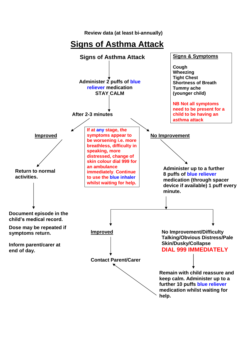